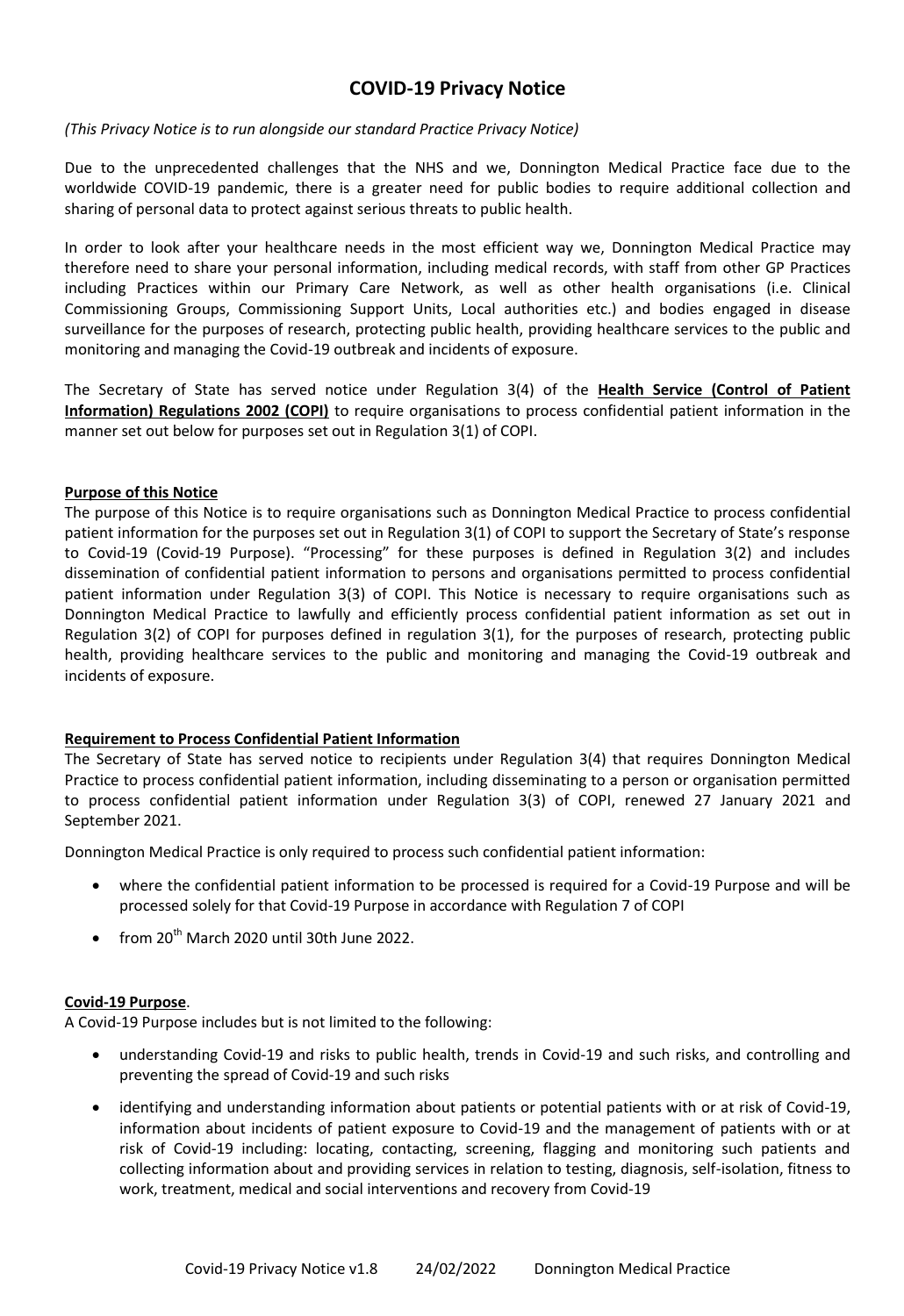# **COVID-19 Privacy Notice**

## *(This Privacy Notice is to run alongside our standard Practice Privacy Notice)*

Due to the unprecedented challenges that the NHS and we, Donnington Medical Practice face due to the worldwide COVID-19 pandemic, there is a greater need for public bodies to require additional collection and sharing of personal data to protect against serious threats to public health.

In order to look after your healthcare needs in the most efficient way we, Donnington Medical Practice may therefore need to share your personal information, including medical records, with staff from other GP Practices including Practices within our Primary Care Network, as well as other health organisations (i.e. Clinical Commissioning Groups, Commissioning Support Units, Local authorities etc.) and bodies engaged in disease surveillance for the purposes of research, protecting public health, providing healthcare services to the public and monitoring and managing the Covid-19 outbreak and incidents of exposure.

The Secretary of State has served notice under Regulation 3(4) of the **Health Service (Control of Patient Information) Regulations 2002 (COPI)** to require organisations to process confidential patient information in the manner set out below for purposes set out in Regulation 3(1) of COPI.

#### **Purpose of this Notice**

The purpose of this Notice is to require organisations such as Donnington Medical Practice to process confidential patient information for the purposes set out in Regulation 3(1) of COPI to support the Secretary of State's response to Covid-19 (Covid-19 Purpose). "Processing" for these purposes is defined in Regulation 3(2) and includes dissemination of confidential patient information to persons and organisations permitted to process confidential patient information under Regulation 3(3) of COPI. This Notice is necessary to require organisations such as Donnington Medical Practice to lawfully and efficiently process confidential patient information as set out in Regulation 3(2) of COPI for purposes defined in regulation 3(1), for the purposes of research, protecting public health, providing healthcare services to the public and monitoring and managing the Covid-19 outbreak and incidents of exposure.

## **Requirement to Process Confidential Patient Information**

The Secretary of State has served notice to recipients under Regulation 3(4) that requires Donnington Medical Practice to process confidential patient information, including disseminating to a person or organisation permitted to process confidential patient information under Regulation 3(3) of COPI, renewed 27 January 2021 and September 2021.

Donnington Medical Practice is only required to process such confidential patient information:

- where the confidential patient information to be processed is required for a Covid-19 Purpose and will be processed solely for that Covid-19 Purpose in accordance with Regulation 7 of COPI
- $\bullet$  from 20<sup>th</sup> March 2020 until 30th June 2022.

#### **Covid-19 Purpose**.

A Covid-19 Purpose includes but is not limited to the following:

- understanding Covid-19 and risks to public health, trends in Covid-19 and such risks, and controlling and preventing the spread of Covid-19 and such risks
- identifying and understanding information about patients or potential patients with or at risk of Covid-19, information about incidents of patient exposure to Covid-19 and the management of patients with or at risk of Covid-19 including: locating, contacting, screening, flagging and monitoring such patients and collecting information about and providing services in relation to testing, diagnosis, self-isolation, fitness to work, treatment, medical and social interventions and recovery from Covid-19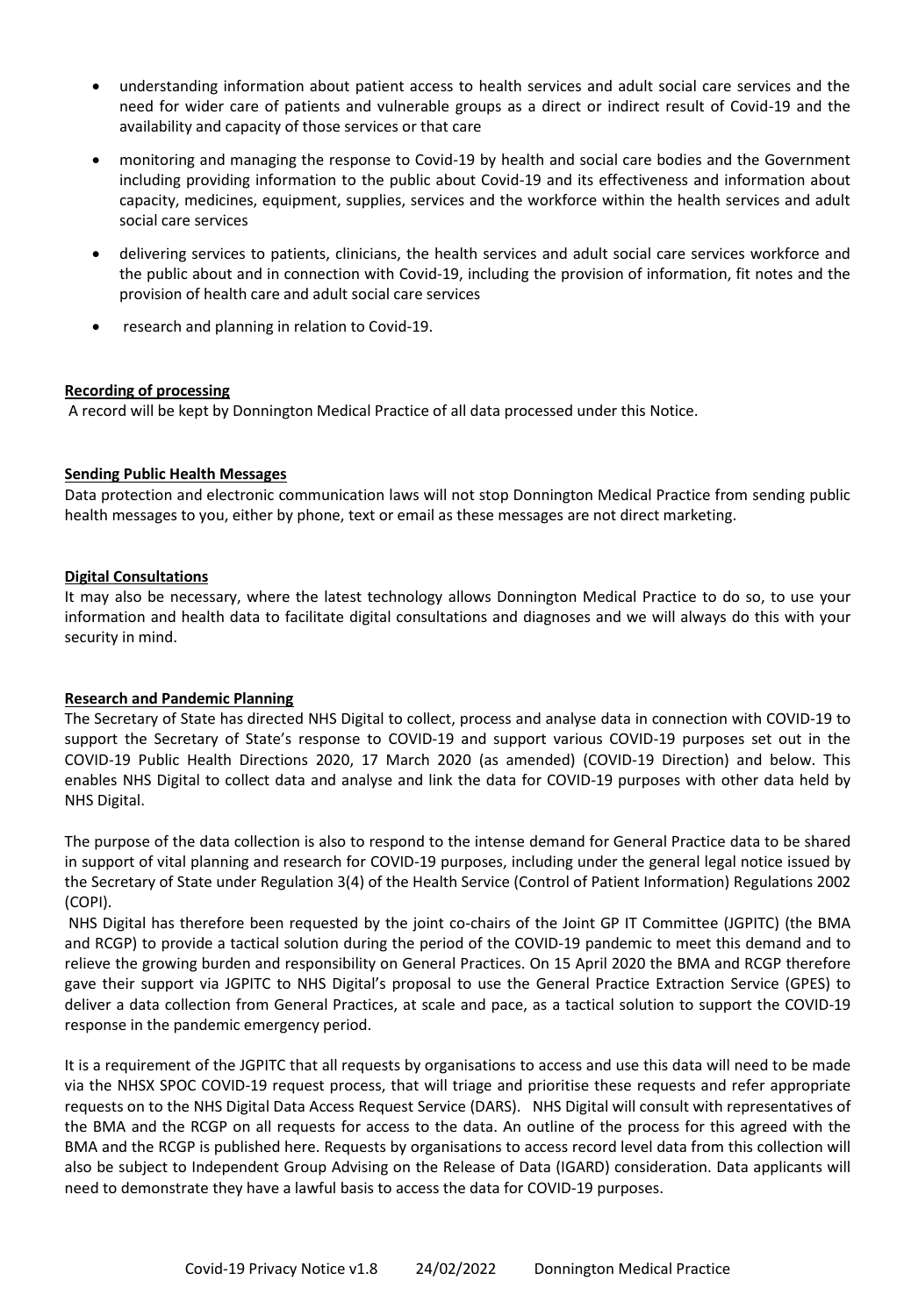- understanding information about patient access to health services and adult social care services and the need for wider care of patients and vulnerable groups as a direct or indirect result of Covid-19 and the availability and capacity of those services or that care
- monitoring and managing the response to Covid-19 by health and social care bodies and the Government including providing information to the public about Covid-19 and its effectiveness and information about capacity, medicines, equipment, supplies, services and the workforce within the health services and adult social care services
- delivering services to patients, clinicians, the health services and adult social care services workforce and the public about and in connection with Covid-19, including the provision of information, fit notes and the provision of health care and adult social care services
- research and planning in relation to Covid-19.

# **Recording of processing**

A record will be kept by Donnington Medical Practice of all data processed under this Notice.

## **Sending Public Health Messages**

Data protection and electronic communication laws will not stop Donnington Medical Practice from sending public health messages to you, either by phone, text or email as these messages are not direct marketing.

## **Digital Consultations**

It may also be necessary, where the latest technology allows Donnington Medical Practice to do so, to use your information and health data to facilitate digital consultations and diagnoses and we will always do this with your security in mind.

## **Research and Pandemic Planning**

The Secretary of State has directed NHS Digital to collect, process and analyse data in connection with COVID-19 to support the Secretary of State's response to COVID-19 and support various COVID-19 purposes set out in the COVID-19 Public Health Directions 2020, 17 March 2020 (as amended) (COVID-19 Direction) and below. This enables NHS Digital to collect data and analyse and link the data for COVID-19 purposes with other data held by NHS Digital.

The purpose of the data collection is also to respond to the intense demand for General Practice data to be shared in support of vital planning and research for COVID-19 purposes, including under the general legal notice issued by the Secretary of State under Regulation 3(4) of the Health Service (Control of Patient Information) Regulations 2002 (COPI).

NHS Digital has therefore been requested by the joint co-chairs of the Joint GP IT Committee (JGPITC) (the BMA and RCGP) to provide a tactical solution during the period of the COVID-19 pandemic to meet this demand and to relieve the growing burden and responsibility on General Practices. On 15 April 2020 the BMA and RCGP therefore gave their support via JGPITC to NHS Digital's proposal to use the General Practice Extraction Service (GPES) to deliver a data collection from General Practices, at scale and pace, as a tactical solution to support the COVID-19 response in the pandemic emergency period.

It is a requirement of the JGPITC that all requests by organisations to access and use this data will need to be made via the NHSX SPOC COVID-19 request process, that will triage and prioritise these requests and refer appropriate requests on to the NHS Digital Data Access Request Service (DARS). NHS Digital will consult with representatives of the BMA and the RCGP on all requests for access to the data. An outline of the process for this agreed with the BMA and the RCGP is published here. Requests by organisations to access record level data from this collection will also be subject to Independent Group Advising on the Release of Data (IGARD) consideration. Data applicants will need to demonstrate they have a lawful basis to access the data for COVID-19 purposes.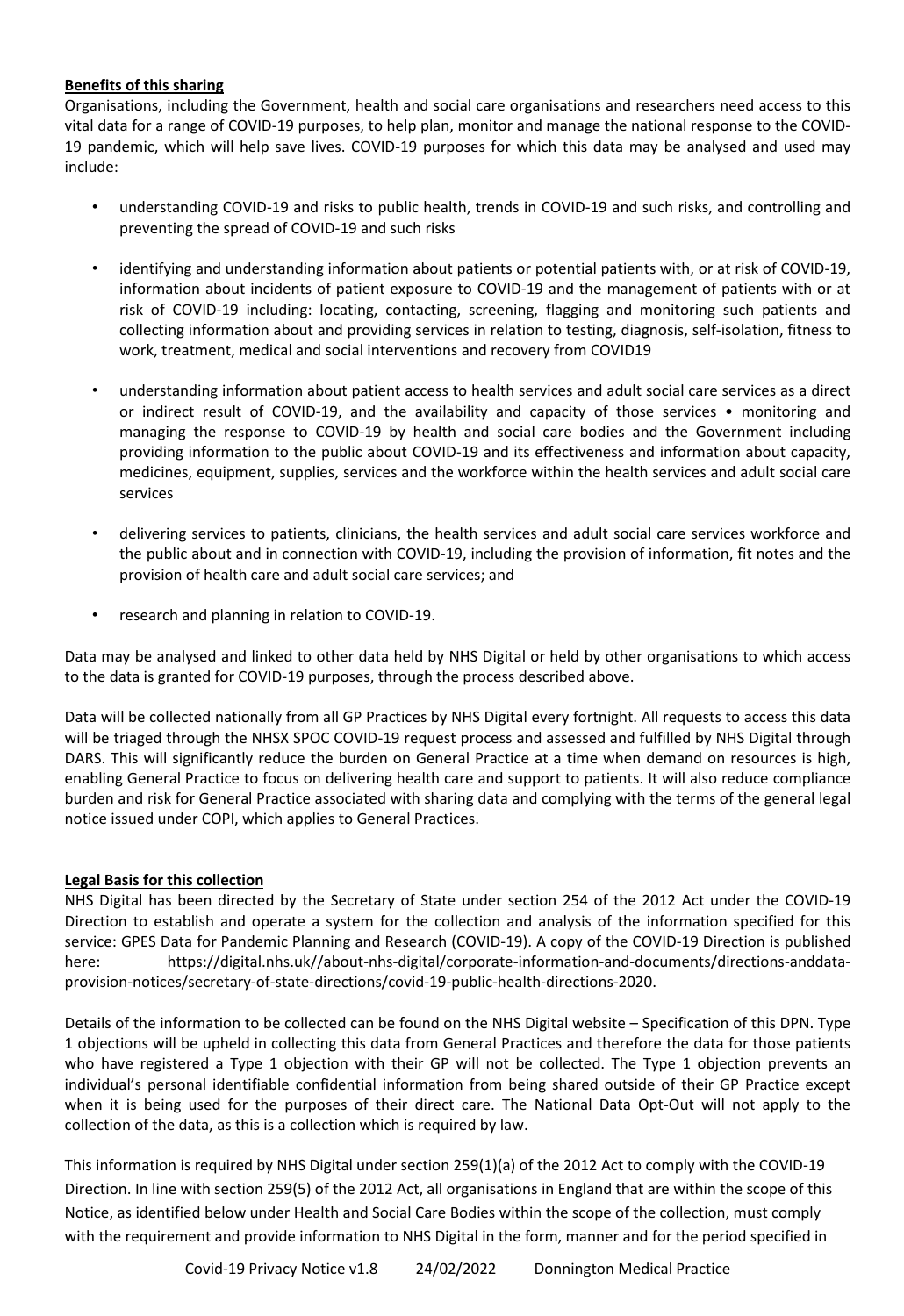# **Benefits of this sharing**

Organisations, including the Government, health and social care organisations and researchers need access to this vital data for a range of COVID-19 purposes, to help plan, monitor and manage the national response to the COVID-19 pandemic, which will help save lives. COVID-19 purposes for which this data may be analysed and used may include:

- understanding COVID-19 and risks to public health, trends in COVID-19 and such risks, and controlling and preventing the spread of COVID-19 and such risks
- identifying and understanding information about patients or potential patients with, or at risk of COVID-19, information about incidents of patient exposure to COVID-19 and the management of patients with or at risk of COVID-19 including: locating, contacting, screening, flagging and monitoring such patients and collecting information about and providing services in relation to testing, diagnosis, self-isolation, fitness to work, treatment, medical and social interventions and recovery from COVID19
- understanding information about patient access to health services and adult social care services as a direct or indirect result of COVID-19, and the availability and capacity of those services • monitoring and managing the response to COVID-19 by health and social care bodies and the Government including providing information to the public about COVID-19 and its effectiveness and information about capacity, medicines, equipment, supplies, services and the workforce within the health services and adult social care services
- delivering services to patients, clinicians, the health services and adult social care services workforce and the public about and in connection with COVID-19, including the provision of information, fit notes and the provision of health care and adult social care services; and
- research and planning in relation to COVID-19.

Data may be analysed and linked to other data held by NHS Digital or held by other organisations to which access to the data is granted for COVID-19 purposes, through the process described above.

Data will be collected nationally from all GP Practices by NHS Digital every fortnight. All requests to access this data will be triaged through the NHSX SPOC COVID-19 request process and assessed and fulfilled by NHS Digital through DARS. This will significantly reduce the burden on General Practice at a time when demand on resources is high, enabling General Practice to focus on delivering health care and support to patients. It will also reduce compliance burden and risk for General Practice associated with sharing data and complying with the terms of the general legal notice issued under COPI, which applies to General Practices.

## **Legal Basis for this collection**

NHS Digital has been directed by the Secretary of State under section 254 of the 2012 Act under the COVID-19 Direction to establish and operate a system for the collection and analysis of the information specified for this service: GPES Data for Pandemic Planning and Research (COVID-19). A copy of the COVID-19 Direction is published here: https://digital.nhs.uk//about-nhs-digital/corporate-information-and-documents/directions-anddataprovision-notices/secretary-of-state-directions/covid-19-public-health-directions-2020.

Details of the information to be collected can be found on the NHS Digital website – Specification of this DPN. Type 1 objections will be upheld in collecting this data from General Practices and therefore the data for those patients who have registered a Type 1 objection with their GP will not be collected. The Type 1 objection prevents an individual's personal identifiable confidential information from being shared outside of their GP Practice except when it is being used for the purposes of their direct care. The National Data Opt-Out will not apply to the collection of the data, as this is a collection which is required by law.

This information is required by NHS Digital under section 259(1)(a) of the 2012 Act to comply with the COVID-19 Direction. In line with section 259(5) of the 2012 Act, all organisations in England that are within the scope of this Notice, as identified below under Health and Social Care Bodies within the scope of the collection, must comply with the requirement and provide information to NHS Digital in the form, manner and for the period specified in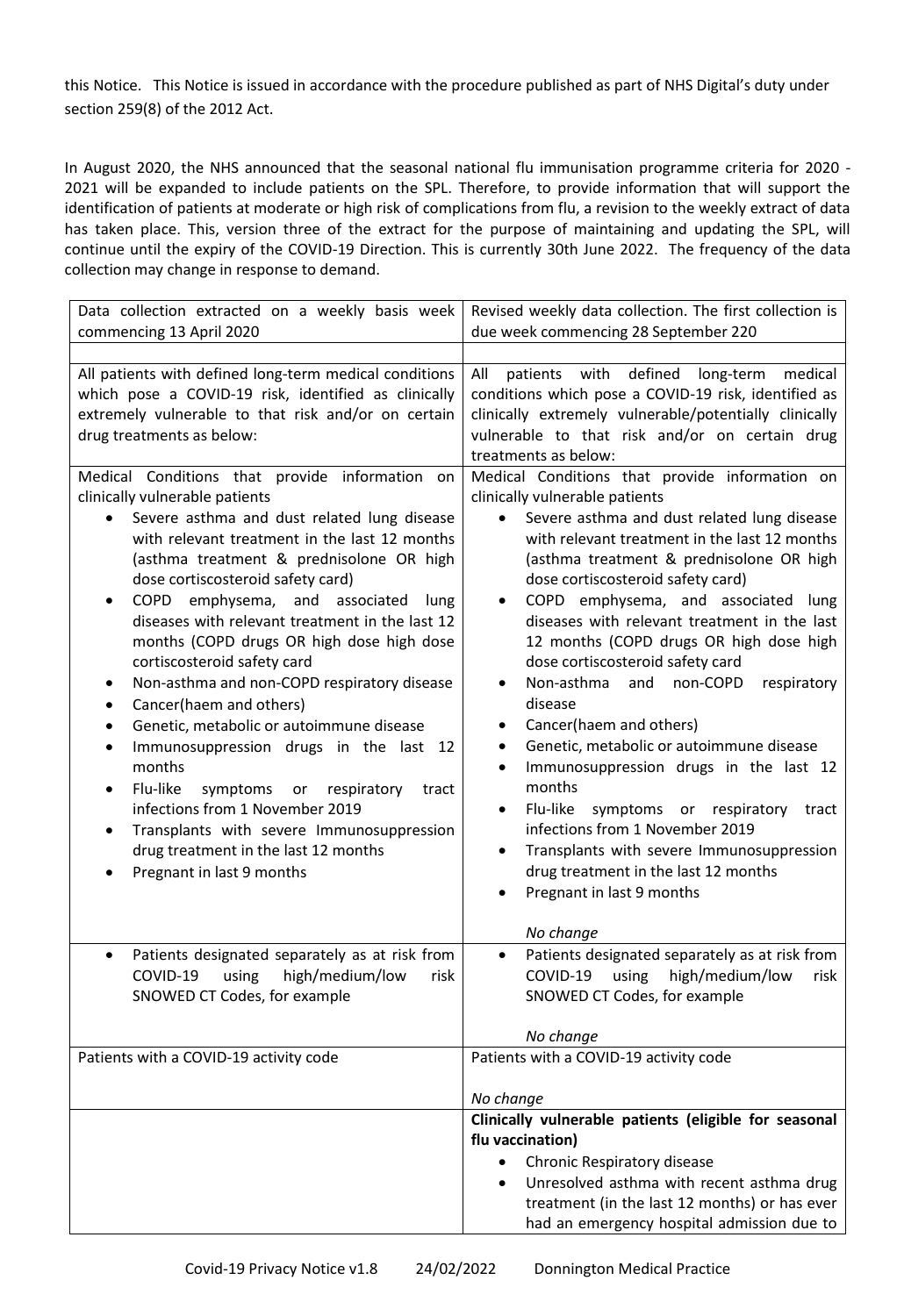this Notice. This Notice is issued in accordance with the procedure published as part of NHS Digital's duty under section 259(8) of the 2012 Act.

In August 2020, the NHS announced that the seasonal national flu immunisation programme criteria for 2020 - 2021 will be expanded to include patients on the SPL. Therefore, to provide information that will support the identification of patients at moderate or high risk of complications from flu, a revision to the weekly extract of data has taken place. This, version three of the extract for the purpose of maintaining and updating the SPL, will continue until the expiry of the COVID-19 Direction. This is currently 30th June 2022. The frequency of the data collection may change in response to demand.

| Data collection extracted on a weekly basis week<br>commencing 13 April 2020                                                                                                                                                                                                                                                                                                                                                                                                                                                                                                                                                                                                                                                                                                                                                                                                                                            | Revised weekly data collection. The first collection is<br>due week commencing 28 September 220                                                                                                                                                                                                                                                                                                                                                                                                                                                                                                                                                                                                                                                                                                                                                                                                                    |
|-------------------------------------------------------------------------------------------------------------------------------------------------------------------------------------------------------------------------------------------------------------------------------------------------------------------------------------------------------------------------------------------------------------------------------------------------------------------------------------------------------------------------------------------------------------------------------------------------------------------------------------------------------------------------------------------------------------------------------------------------------------------------------------------------------------------------------------------------------------------------------------------------------------------------|--------------------------------------------------------------------------------------------------------------------------------------------------------------------------------------------------------------------------------------------------------------------------------------------------------------------------------------------------------------------------------------------------------------------------------------------------------------------------------------------------------------------------------------------------------------------------------------------------------------------------------------------------------------------------------------------------------------------------------------------------------------------------------------------------------------------------------------------------------------------------------------------------------------------|
|                                                                                                                                                                                                                                                                                                                                                                                                                                                                                                                                                                                                                                                                                                                                                                                                                                                                                                                         |                                                                                                                                                                                                                                                                                                                                                                                                                                                                                                                                                                                                                                                                                                                                                                                                                                                                                                                    |
| All patients with defined long-term medical conditions<br>which pose a COVID-19 risk, identified as clinically<br>extremely vulnerable to that risk and/or on certain<br>drug treatments as below:                                                                                                                                                                                                                                                                                                                                                                                                                                                                                                                                                                                                                                                                                                                      | defined<br>medical<br>All<br>patients with<br>long-term<br>conditions which pose a COVID-19 risk, identified as<br>clinically extremely vulnerable/potentially clinically<br>vulnerable to that risk and/or on certain drug<br>treatments as below:                                                                                                                                                                                                                                                                                                                                                                                                                                                                                                                                                                                                                                                                |
| Medical Conditions that provide information on<br>clinically vulnerable patients<br>Severe asthma and dust related lung disease<br>with relevant treatment in the last 12 months<br>(asthma treatment & prednisolone OR high<br>dose cortiscosteroid safety card)<br>COPD emphysema, and associated<br>lung<br>$\bullet$<br>diseases with relevant treatment in the last 12<br>months (COPD drugs OR high dose high dose<br>cortiscosteroid safety card<br>Non-asthma and non-COPD respiratory disease<br>$\bullet$<br>Cancer(haem and others)<br>$\bullet$<br>Genetic, metabolic or autoimmune disease<br>$\bullet$<br>Immunosuppression drugs in the last 12<br>$\bullet$<br>months<br>Flu-like<br>respiratory<br>symptoms or<br>tract<br>$\bullet$<br>infections from 1 November 2019<br>Transplants with severe Immunosuppression<br>$\bullet$<br>drug treatment in the last 12 months<br>Pregnant in last 9 months | Medical Conditions that provide information on<br>clinically vulnerable patients<br>Severe asthma and dust related lung disease<br>$\bullet$<br>with relevant treatment in the last 12 months<br>(asthma treatment & prednisolone OR high<br>dose cortiscosteroid safety card)<br>COPD emphysema, and associated lung<br>$\bullet$<br>diseases with relevant treatment in the last<br>12 months (COPD drugs OR high dose high<br>dose cortiscosteroid safety card<br>Non-asthma<br>and<br>non-COPD<br>respiratory<br>$\bullet$<br>disease<br>Cancer(haem and others)<br>٠<br>Genetic, metabolic or autoimmune disease<br>٠<br>Immunosuppression drugs in the last 12<br>$\bullet$<br>months<br>Flu-like<br>symptoms or respiratory<br>tract<br>٠<br>infections from 1 November 2019<br>Transplants with severe Immunosuppression<br>$\bullet$<br>drug treatment in the last 12 months<br>Pregnant in last 9 months |
| Patients designated separately as at risk from<br>COVID-19 using high/medium/low<br>risk<br>SNOWED CT Codes, for example                                                                                                                                                                                                                                                                                                                                                                                                                                                                                                                                                                                                                                                                                                                                                                                                | No change<br>Patients designated separately as at risk from<br>COVID-19 using high/medium/low risk<br>SNOWED CT Codes, for example                                                                                                                                                                                                                                                                                                                                                                                                                                                                                                                                                                                                                                                                                                                                                                                 |
|                                                                                                                                                                                                                                                                                                                                                                                                                                                                                                                                                                                                                                                                                                                                                                                                                                                                                                                         | No change                                                                                                                                                                                                                                                                                                                                                                                                                                                                                                                                                                                                                                                                                                                                                                                                                                                                                                          |
| Patients with a COVID-19 activity code                                                                                                                                                                                                                                                                                                                                                                                                                                                                                                                                                                                                                                                                                                                                                                                                                                                                                  | Patients with a COVID-19 activity code                                                                                                                                                                                                                                                                                                                                                                                                                                                                                                                                                                                                                                                                                                                                                                                                                                                                             |
|                                                                                                                                                                                                                                                                                                                                                                                                                                                                                                                                                                                                                                                                                                                                                                                                                                                                                                                         | No change                                                                                                                                                                                                                                                                                                                                                                                                                                                                                                                                                                                                                                                                                                                                                                                                                                                                                                          |
|                                                                                                                                                                                                                                                                                                                                                                                                                                                                                                                                                                                                                                                                                                                                                                                                                                                                                                                         | Clinically vulnerable patients (eligible for seasonal<br>flu vaccination)                                                                                                                                                                                                                                                                                                                                                                                                                                                                                                                                                                                                                                                                                                                                                                                                                                          |
|                                                                                                                                                                                                                                                                                                                                                                                                                                                                                                                                                                                                                                                                                                                                                                                                                                                                                                                         | Chronic Respiratory disease<br>Unresolved asthma with recent asthma drug<br>treatment (in the last 12 months) or has ever<br>had an emergency hospital admission due to                                                                                                                                                                                                                                                                                                                                                                                                                                                                                                                                                                                                                                                                                                                                            |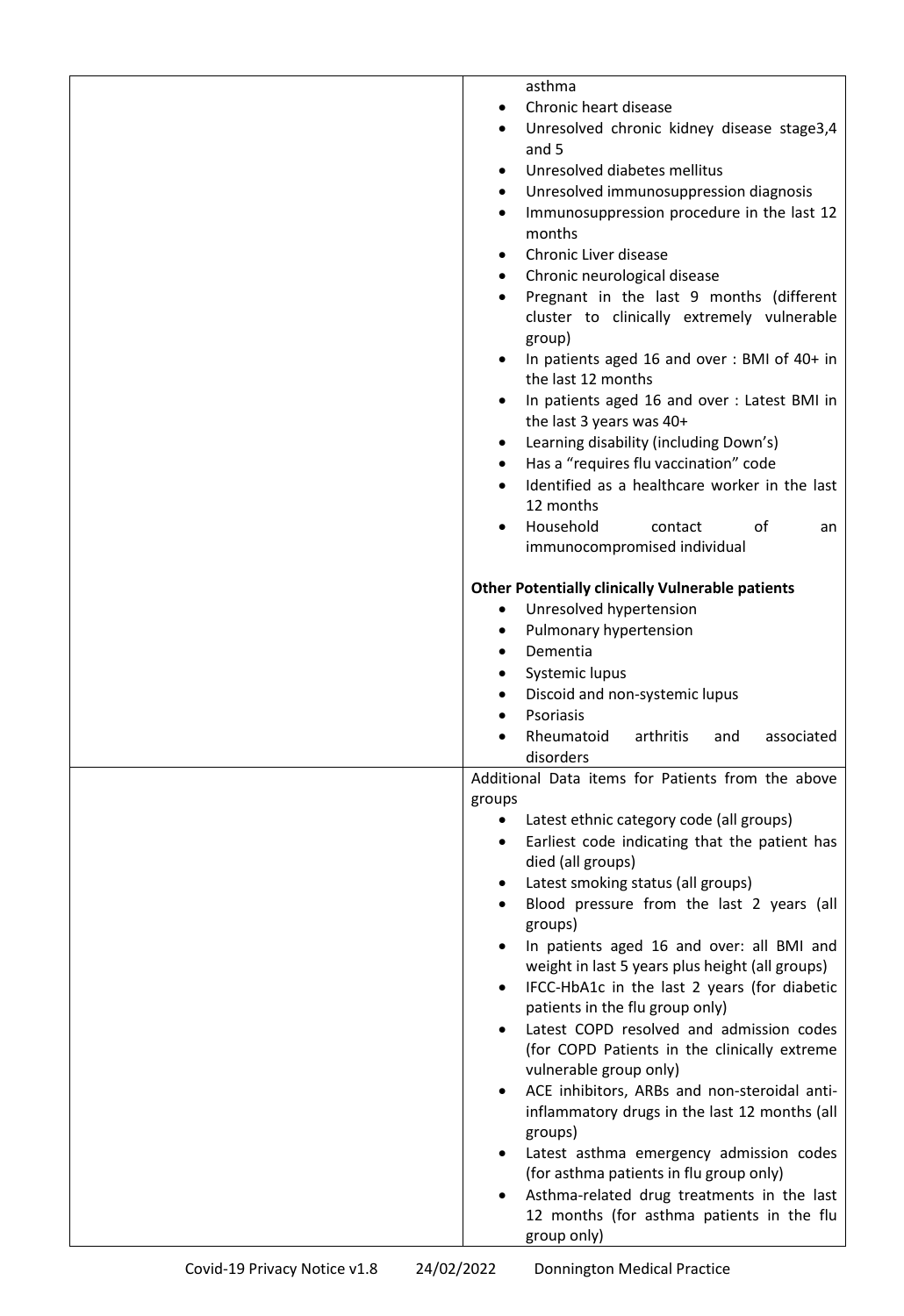| asthma                                                                                |
|---------------------------------------------------------------------------------------|
| Chronic heart disease                                                                 |
| Unresolved chronic kidney disease stage3,4                                            |
| and 5                                                                                 |
| Unresolved diabetes mellitus                                                          |
| Unresolved immunosuppression diagnosis                                                |
| Immunosuppression procedure in the last 12<br>٠                                       |
| months                                                                                |
| Chronic Liver disease                                                                 |
| Chronic neurological disease<br>$\bullet$<br>Pregnant in the last 9 months (different |
| cluster to clinically extremely vulnerable                                            |
| group)                                                                                |
| In patients aged 16 and over: BMI of 40+ in                                           |
| the last 12 months                                                                    |
| In patients aged 16 and over: Latest BMI in                                           |
| the last 3 years was 40+                                                              |
| Learning disability (including Down's)                                                |
| Has a "requires flu vaccination" code<br>٠                                            |
| Identified as a healthcare worker in the last                                         |
| 12 months                                                                             |
| Household<br>contact<br>of<br>an                                                      |
| immunocompromised individual                                                          |
| <b>Other Potentially clinically Vulnerable patients</b>                               |
| Unresolved hypertension                                                               |
| Pulmonary hypertension                                                                |
| Dementia                                                                              |
| Systemic lupus                                                                        |
| Discoid and non-systemic lupus                                                        |
| Psoriasis                                                                             |
| Rheumatoid<br>arthritis<br>associated<br>and                                          |
| disorders                                                                             |
| Additional Data items for Patients from the above                                     |
| groups                                                                                |
| Latest ethnic category code (all groups)                                              |
| Earliest code indicating that the patient has<br>died (all groups)                    |
| Latest smoking status (all groups)                                                    |
| Blood pressure from the last 2 years (all                                             |
| groups)                                                                               |
| In patients aged 16 and over: all BMI and                                             |
| weight in last 5 years plus height (all groups)                                       |
| IFCC-HbA1c in the last 2 years (for diabetic                                          |
| patients in the flu group only)                                                       |
| Latest COPD resolved and admission codes                                              |
| (for COPD Patients in the clinically extreme                                          |
| vulnerable group only)                                                                |
| ACE inhibitors, ARBs and non-steroidal anti-                                          |
| inflammatory drugs in the last 12 months (all                                         |
| groups)<br>Latest asthma emergency admission codes                                    |
| (for asthma patients in flu group only)                                               |
| Asthma-related drug treatments in the last                                            |
| 12 months (for asthma patients in the flu                                             |
| group only)                                                                           |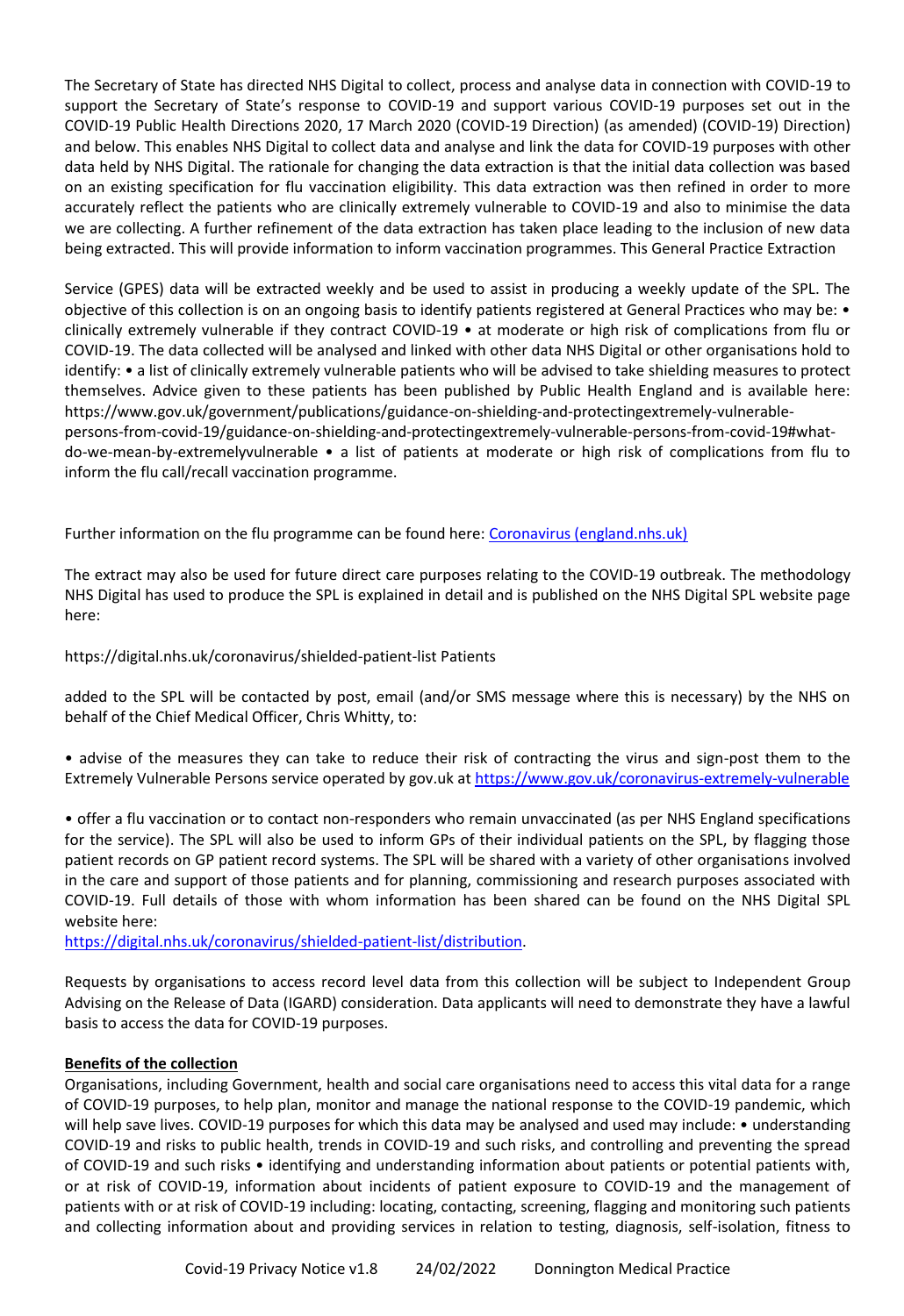The Secretary of State has directed NHS Digital to collect, process and analyse data in connection with COVID-19 to support the Secretary of State's response to COVID-19 and support various COVID-19 purposes set out in the COVID-19 Public Health Directions 2020, 17 March 2020 (COVID-19 Direction) (as amended) (COVID-19) Direction) and below. This enables NHS Digital to collect data and analyse and link the data for COVID-19 purposes with other data held by NHS Digital. The rationale for changing the data extraction is that the initial data collection was based on an existing specification for flu vaccination eligibility. This data extraction was then refined in order to more accurately reflect the patients who are clinically extremely vulnerable to COVID-19 and also to minimise the data we are collecting. A further refinement of the data extraction has taken place leading to the inclusion of new data being extracted. This will provide information to inform vaccination programmes. This General Practice Extraction

Service (GPES) data will be extracted weekly and be used to assist in producing a weekly update of the SPL. The objective of this collection is on an ongoing basis to identify patients registered at General Practices who may be: • clinically extremely vulnerable if they contract COVID-19 • at moderate or high risk of complications from flu or COVID-19. The data collected will be analysed and linked with other data NHS Digital or other organisations hold to identify: • a list of clinically extremely vulnerable patients who will be advised to take shielding measures to protect themselves. Advice given to these patients has been published by Public Health England and is available here: https://www.gov.uk/government/publications/guidance-on-shielding-and-protectingextremely-vulnerablepersons-from-covid-19/guidance-on-shielding-and-protectingextremely-vulnerable-persons-from-covid-19#whatdo-we-mean-by-extremelyvulnerable • a list of patients at moderate or high risk of complications from flu to inform the flu call/recall vaccination programme.

Further information on the flu programme can be found here: [Coronavirus \(england.nhs.uk\)](https://www.england.nhs.uk/coronavirus/)

The extract may also be used for future direct care purposes relating to the COVID-19 outbreak. The methodology NHS Digital has used to produce the SPL is explained in detail and is published on the NHS Digital SPL website page here:

# https://digital.nhs.uk/coronavirus/shielded-patient-list Patients

added to the SPL will be contacted by post, email (and/or SMS message where this is necessary) by the NHS on behalf of the Chief Medical Officer, Chris Whitty, to:

• advise of the measures they can take to reduce their risk of contracting the virus and sign-post them to the Extremely Vulnerable Persons service operated by gov.uk a[t https://www.gov.uk/coronavirus-extremely-vulnerable](https://www.gov.uk/coronavirus-extremely-vulnerable)

• offer a flu vaccination or to contact non-responders who remain unvaccinated (as per NHS England specifications for the service). The SPL will also be used to inform GPs of their individual patients on the SPL, by flagging those patient records on GP patient record systems. The SPL will be shared with a variety of other organisations involved in the care and support of those patients and for planning, commissioning and research purposes associated with COVID-19. Full details of those with whom information has been shared can be found on the NHS Digital SPL website here:

[https://digital.nhs.uk/coronavirus/shielded-patient-list/distribution.](https://digital.nhs.uk/coronavirus/shielded-patient-list/distribution)

Requests by organisations to access record level data from this collection will be subject to Independent Group Advising on the Release of Data (IGARD) consideration. Data applicants will need to demonstrate they have a lawful basis to access the data for COVID-19 purposes.

## **Benefits of the collection**

Organisations, including Government, health and social care organisations need to access this vital data for a range of COVID-19 purposes, to help plan, monitor and manage the national response to the COVID-19 pandemic, which will help save lives. COVID-19 purposes for which this data may be analysed and used may include: • understanding COVID-19 and risks to public health, trends in COVID-19 and such risks, and controlling and preventing the spread of COVID-19 and such risks • identifying and understanding information about patients or potential patients with, or at risk of COVID-19, information about incidents of patient exposure to COVID-19 and the management of patients with or at risk of COVID-19 including: locating, contacting, screening, flagging and monitoring such patients and collecting information about and providing services in relation to testing, diagnosis, self-isolation, fitness to